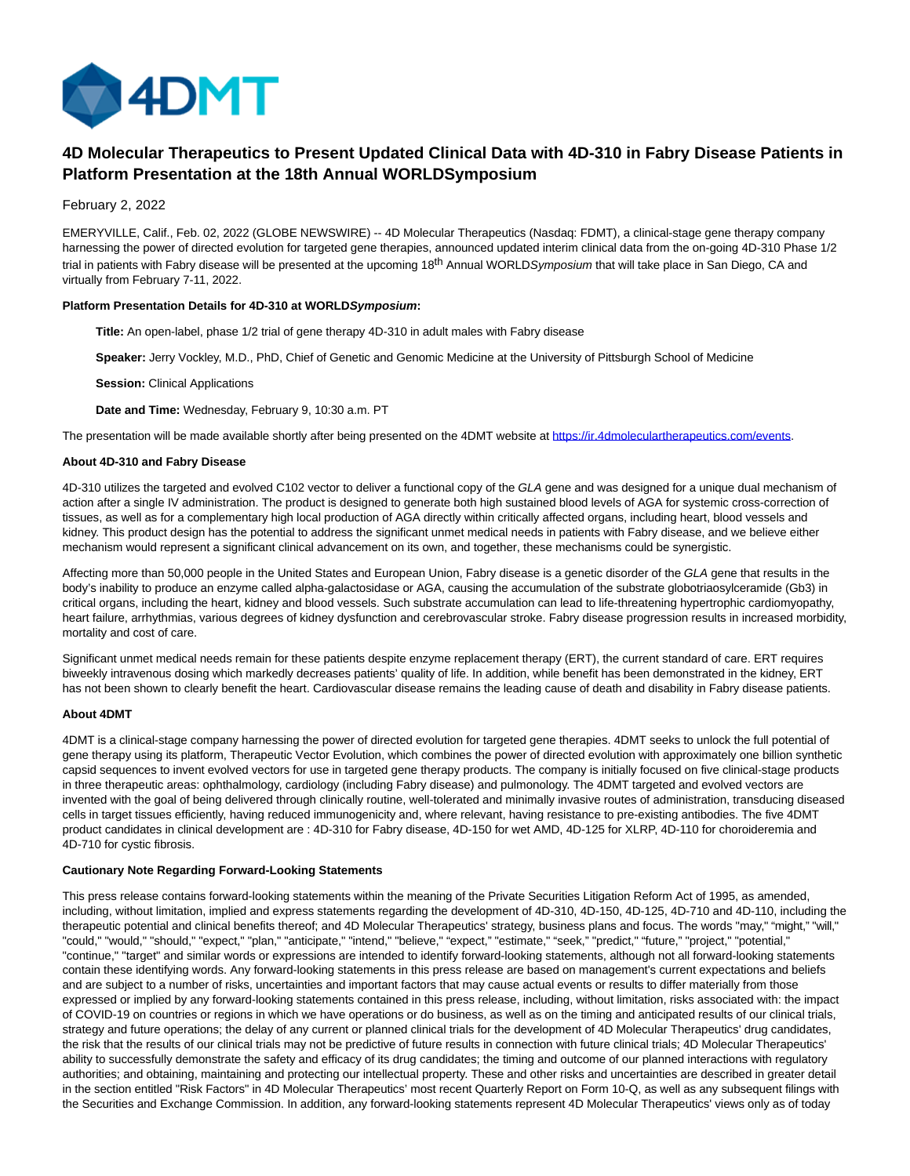

# **4D Molecular Therapeutics to Present Updated Clinical Data with 4D-310 in Fabry Disease Patients in Platform Presentation at the 18th Annual WORLDSymposium**

# February 2, 2022

EMERYVILLE, Calif., Feb. 02, 2022 (GLOBE NEWSWIRE) -- 4D Molecular Therapeutics (Nasdaq: FDMT), a clinical-stage gene therapy company harnessing the power of directed evolution for targeted gene therapies, announced updated interim clinical data from the on-going 4D-310 Phase 1/2 trial in patients with Fabry disease will be presented at the upcoming 18<sup>th</sup> Annual WORLDSymposium that will take place in San Diego, CA and virtually from February 7-11, 2022.

## **Platform Presentation Details for 4D-310 at WORLDSymposium:**

**Title:** An open-label, phase 1/2 trial of gene therapy 4D-310 in adult males with Fabry disease

**Speaker:** Jerry Vockley, M.D., PhD, Chief of Genetic and Genomic Medicine at the University of Pittsburgh School of Medicine

**Session:** Clinical Applications

**Date and Time:** Wednesday, February 9, 10:30 a.m. PT

The presentation will be made available shortly after being presented on the 4DMT website at [https://ir.4dmoleculartherapeutics.com/events.](https://www.globenewswire.com/Tracker?data=PjrE11zAh_vBLpXqEeJZrfaTlFrGu25W6107FlM7Nrw-EtR_YYkPLF1g2pGisUkXF9INjH_V04NrL7f04rpLWeNE0ZZ_ugdPYVva6o6PZzs5sYkGWkzk3hDjTOIsGyC-ZJlAT2UxNsRn0VZzvelJqA==)

## **About 4D-310 and Fabry Disease**

4D-310 utilizes the targeted and evolved C102 vector to deliver a functional copy of the GLA gene and was designed for a unique dual mechanism of action after a single IV administration. The product is designed to generate both high sustained blood levels of AGA for systemic cross-correction of tissues, as well as for a complementary high local production of AGA directly within critically affected organs, including heart, blood vessels and kidney. This product design has the potential to address the significant unmet medical needs in patients with Fabry disease, and we believe either mechanism would represent a significant clinical advancement on its own, and together, these mechanisms could be synergistic.

Affecting more than 50,000 people in the United States and European Union, Fabry disease is a genetic disorder of the GLA gene that results in the body's inability to produce an enzyme called alpha-galactosidase or AGA, causing the accumulation of the substrate globotriaosylceramide (Gb3) in critical organs, including the heart, kidney and blood vessels. Such substrate accumulation can lead to life-threatening hypertrophic cardiomyopathy, heart failure, arrhythmias, various degrees of kidney dysfunction and cerebrovascular stroke. Fabry disease progression results in increased morbidity, mortality and cost of care.

Significant unmet medical needs remain for these patients despite enzyme replacement therapy (ERT), the current standard of care. ERT requires biweekly intravenous dosing which markedly decreases patients' quality of life. In addition, while benefit has been demonstrated in the kidney, ERT has not been shown to clearly benefit the heart. Cardiovascular disease remains the leading cause of death and disability in Fabry disease patients.

#### **About 4DMT**

4DMT is a clinical-stage company harnessing the power of directed evolution for targeted gene therapies. 4DMT seeks to unlock the full potential of gene therapy using its platform, Therapeutic Vector Evolution, which combines the power of directed evolution with approximately one billion synthetic capsid sequences to invent evolved vectors for use in targeted gene therapy products. The company is initially focused on five clinical-stage products in three therapeutic areas: ophthalmology, cardiology (including Fabry disease) and pulmonology. The 4DMT targeted and evolved vectors are invented with the goal of being delivered through clinically routine, well-tolerated and minimally invasive routes of administration, transducing diseased cells in target tissues efficiently, having reduced immunogenicity and, where relevant, having resistance to pre-existing antibodies. The five 4DMT product candidates in clinical development are : 4D-310 for Fabry disease, 4D-150 for wet AMD, 4D-125 for XLRP, 4D-110 for choroideremia and 4D-710 for cystic fibrosis.

## **Cautionary Note Regarding Forward-Looking Statements**

This press release contains forward-looking statements within the meaning of the Private Securities Litigation Reform Act of 1995, as amended, including, without limitation, implied and express statements regarding the development of 4D-310, 4D-150, 4D-125, 4D-710 and 4D-110, including the therapeutic potential and clinical benefits thereof; and 4D Molecular Therapeutics' strategy, business plans and focus. The words "may," "might," "will," "could," "would," "should," "expect," "plan," "anticipate," "intend," "believe," "expect," "estimate," "seek," "predict," "future," "project," "potential," "continue," "target" and similar words or expressions are intended to identify forward-looking statements, although not all forward-looking statements contain these identifying words. Any forward-looking statements in this press release are based on management's current expectations and beliefs and are subject to a number of risks, uncertainties and important factors that may cause actual events or results to differ materially from those expressed or implied by any forward-looking statements contained in this press release, including, without limitation, risks associated with: the impact of COVID-19 on countries or regions in which we have operations or do business, as well as on the timing and anticipated results of our clinical trials, strategy and future operations; the delay of any current or planned clinical trials for the development of 4D Molecular Therapeutics' drug candidates, the risk that the results of our clinical trials may not be predictive of future results in connection with future clinical trials; 4D Molecular Therapeutics' ability to successfully demonstrate the safety and efficacy of its drug candidates; the timing and outcome of our planned interactions with regulatory authorities; and obtaining, maintaining and protecting our intellectual property. These and other risks and uncertainties are described in greater detail in the section entitled "Risk Factors" in 4D Molecular Therapeutics' most recent Quarterly Report on Form 10-Q, as well as any subsequent filings with the Securities and Exchange Commission. In addition, any forward-looking statements represent 4D Molecular Therapeutics' views only as of today